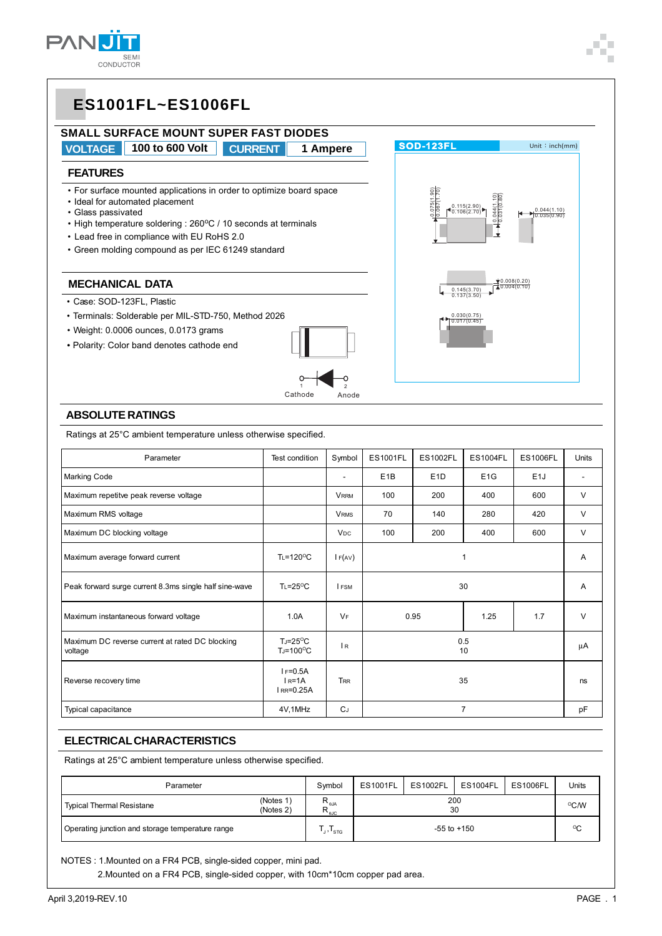

# **ES1001FL~ES1006FL**

### **SMALL SURFACE MOUNT SUPER FAST DIODES VOLTAGE 100 to 600 Volt CURRENT 1 Ampere**

#### **FEATURES**

- For surface mounted applications in order to optimize board space
- Ideal for automated placement
- Glass passivated
- High temperature soldering : 260°C / 10 seconds at terminals
- Lead free in compliance with EU RoHS 2.0
- Green molding compound as per IEC 61249 standard

#### **MECHANICAL DATA**

- Case: SOD-123FL, Plastic
- Terminals: Solderable per MIL-STD-750, Method 2026
- Weight: 0.0006 ounces, 0.0173 grams
- *•* Polarity: Color band denotes cathode end



### **SOD-123FL** Unit: inch(mm) 0.115(2.90) 0.106(2.70) 0.044(1.10) 0.031(0.80) 044(1.10) 0.035(0.90) 0.008(0.20)  $0.145(3.70)$   $\left(40.004(0.10)\right)$ 0.137(3.50) 0.030(0.75) 0.017(0.45) 0.075(1.90) 0.067(1.70)

#### **ABSOLUTE RATINGS**

Ratings at 25°C ambient temperature unless otherwise specified.

| Parameter                                                  | Test condition                                       | Symbol                | <b>ES1001FL</b>  | <b>ES1002FL</b>      | <b>ES1004FL</b>  | <b>ES1006FL</b>  | <b>Units</b> |
|------------------------------------------------------------|------------------------------------------------------|-----------------------|------------------|----------------------|------------------|------------------|--------------|
| <b>Marking Code</b>                                        |                                                      | ٠                     | E <sub>1</sub> B | E <sub>1</sub> D     | E <sub>1</sub> G | E <sub>1</sub> J | ۰            |
| Maximum repetitve peak reverse voltage                     |                                                      | <b>VRRM</b>           | 100              | 200                  | 400              | 600              | $\vee$       |
| Maximum RMS voltage                                        |                                                      | <b>VRMS</b>           | 70               | 140                  | 280              | 420              | $\vee$       |
| Maximum DC blocking voltage                                |                                                      | <b>V<sub>DC</sub></b> | 100              | 200                  | 400              | 600              | $\vee$       |
| Maximum average forward current                            | $T_{L}$ =120 <sup>o</sup> C                          | IF(AV)                | 1                |                      |                  |                  | A            |
| Peak forward surge current 8.3ms single half sine-wave     | $T_1 = 25^{\circ}C$                                  | <b>I</b> FSM          | 30               |                      |                  | A                |              |
| Maximum instantaneous forward voltage                      | 1.0A                                                 | $V_F$                 | 0.95             |                      | 1.25             | 1.7              | $\vee$       |
| Maximum DC reverse current at rated DC blocking<br>voltage | $T_J = 25^{\circ}C$<br>$T_J = 100^{\circ}C$          | R                     | 0.5<br>10        |                      |                  |                  | μA           |
| Reverse recovery time                                      | $I = 0.5A$<br>$IR=1A$<br>$I$ <sub>RR</sub> = $0.25A$ | <b>T<sub>RR</sub></b> |                  | 35<br>$\overline{7}$ |                  |                  | ns           |
| Typical capacitance                                        | 4V,1MHz                                              | $C_J$                 |                  |                      |                  | pF               |              |

#### **ELECTRICAL CHARACTERISTICS**

Ratings at 25°C ambient temperature unless otherwise specified.

| Parameter                                        |                        | Symbol                                      | <b>ES1001FL</b> | <b>ES1002FL</b> | <b>ES1004FL</b> | <b>ES1006FL</b> | <b>Units</b> |
|--------------------------------------------------|------------------------|---------------------------------------------|-----------------|-----------------|-----------------|-----------------|--------------|
| <b>Typical Thermal Resistane</b>                 | (Notes 1)<br>(Notes 2) | <b>N</b> <sub>eJA</sub><br>$R_{\text{guc}}$ | 200<br>30       |                 |                 |                 | °C/W         |
| Operating junction and storage temperature range |                        | J'STG                                       |                 |                 | $-55$ to $+150$ |                 | $^{\circ}$ C |

NOTES : 1.Mounted on a FR4 PCB, single-sided copper, mini pad.

2.Mounted on a FR4 PCB, single-sided copper, with 10cm\*10cm copper pad area.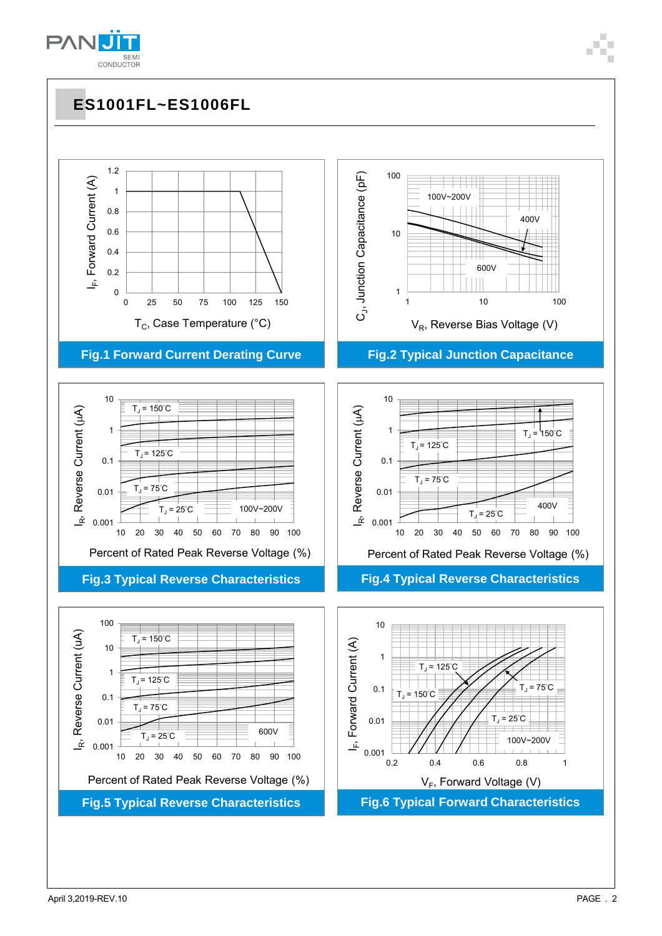

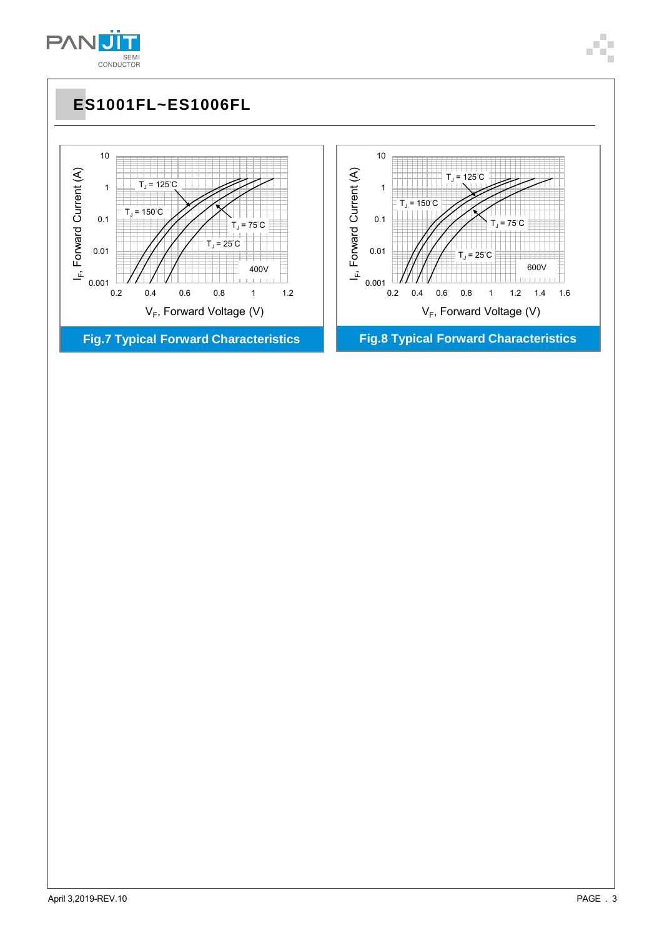

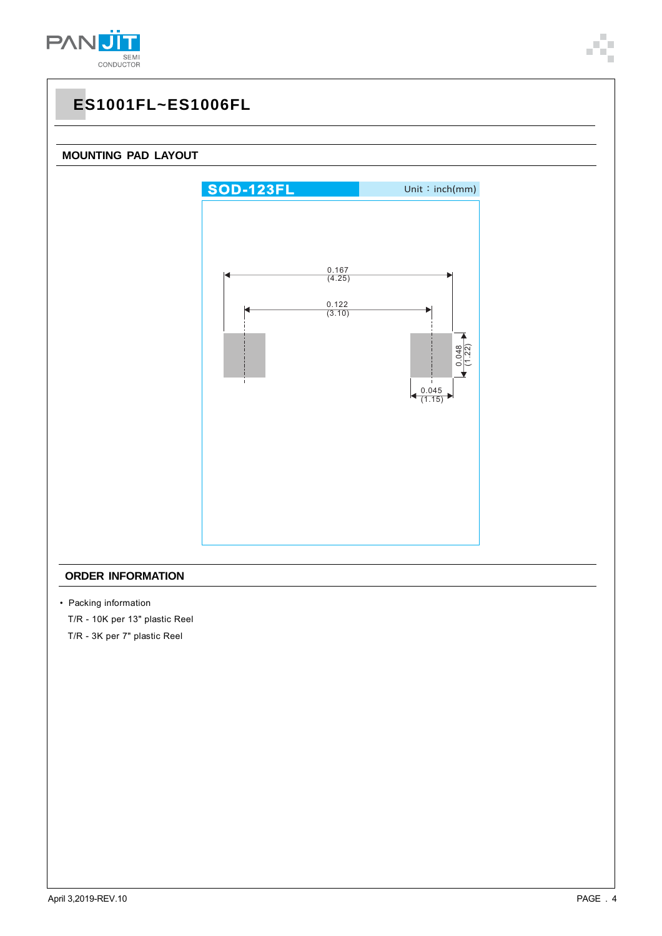

# **ES1001FL~ES1006FL**



### **ORDER INFORMATION**

- Packing information
- T/R 10K per 13" plastic Reel
- T/R 3K per 7" plastic Reel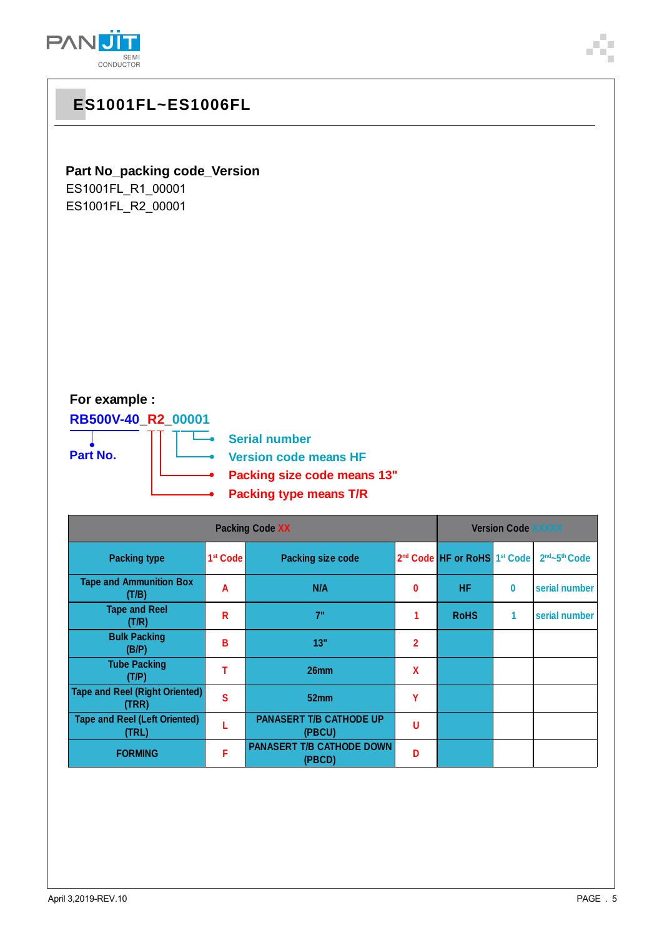

| ES1001FL~ES1006FL                                                                                                                                                                 |                        |                                                              |                         |                                                      |           |                                       |  |
|-----------------------------------------------------------------------------------------------------------------------------------------------------------------------------------|------------------------|--------------------------------------------------------------|-------------------------|------------------------------------------------------|-----------|---------------------------------------|--|
| Part No_packing code_Version<br>ES1001FL R1 00001<br>ES1001FL_R2_00001<br>For example :<br>RB500V-40_R2_00001<br><b>Serial number</b><br>Part No.<br><b>Version code means HF</b> |                        |                                                              |                         |                                                      |           |                                       |  |
|                                                                                                                                                                                   |                        | Packing size code means 13"<br><b>Packing type means T/R</b> |                         |                                                      |           |                                       |  |
|                                                                                                                                                                                   | <b>Packing Code XX</b> |                                                              |                         | <b>Version Code XXXXX</b>                            |           |                                       |  |
| <b>Packing type</b>                                                                                                                                                               | 1 <sup>st</sup> Code   | <b>Packing size code</b>                                     |                         | 2 <sup>nd</sup> Code HF or RoHS 1 <sup>st</sup> Code |           | 2 <sup>nd</sup> ~5 <sup>th</sup> Code |  |
| <b>Tape and Ammunition Box</b><br>(T/B)                                                                                                                                           | A                      | N/A                                                          | $\pmb{0}$               | HF.                                                  | $\pmb{0}$ | serial number                         |  |
| <b>Tape and Reel</b><br>(T/R)                                                                                                                                                     | $\mathsf R$            | 7"                                                           | 1                       | <b>RoHS</b>                                          | 1         | serial number                         |  |
| <b>Bulk Packing</b><br>(B/P)                                                                                                                                                      | B                      | 13"                                                          | $\overline{\mathbf{2}}$ |                                                      |           |                                       |  |
| <b>Tube Packing</b><br>(T/P)                                                                                                                                                      | T                      | 26mm                                                         | X                       |                                                      |           |                                       |  |
| <b>Tape and Reel (Right Oriented)</b><br>(TRR)                                                                                                                                    | $\mathbf{s}$           | 52mm                                                         | Y                       |                                                      |           |                                       |  |
| <b>Tape and Reel (Left Oriented)</b><br>(TRL)                                                                                                                                     | L                      | <b>PANASERT T/B CATHODE UP</b><br>(PBCU)                     | U                       |                                                      |           |                                       |  |
| <b>FORMING</b>                                                                                                                                                                    | F                      | PANASERT T/B CATHODE DOWN<br>(PBCD)                          | D                       |                                                      |           |                                       |  |